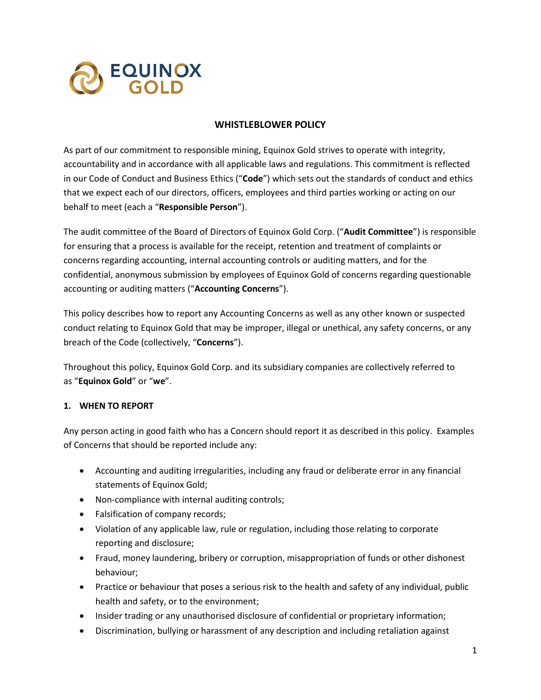

## **WHISTLEBLOWER POLICY**

As part of our commitment to responsible mining, Equinox Gold strives to operate with integrity, accountability and in accordance with all applicable laws and regulations. This commitment is reflected in our Code of Conduct and Business Ethics ("**Code**") which sets out the standards of conduct and ethics that we expect each of our directors, officers, employees and third parties working or acting on our behalf to meet (each a "**Responsible Person**").

The audit committee of the Board of Directors of Equinox Gold Corp. ("**Audit Committee**") is responsible for ensuring that a process is available for the receipt, retention and treatment of complaints or concerns regarding accounting, internal accounting controls or auditing matters, and for the confidential, anonymous submission by employees of Equinox Gold of concerns regarding questionable accounting or auditing matters ("**Accounting Concerns**").

This policy describes how to report any Accounting Concerns as well as any other known or suspected conduct relating to Equinox Gold that may be improper, illegal or unethical, any safety concerns, or any breach of the Code (collectively, "**Concerns**").

Throughout this policy, Equinox Gold Corp. and its subsidiary companies are collectively referred to as "**Equinox Gold**" or "**we**".

#### **1. WHEN TO REPORT**

Any person acting in good faith who has a Concern should report it as described in this policy. Examples of Concerns that should be reported include any:

- Accounting and auditing irregularities, including any fraud or deliberate error in any financial statements of Equinox Gold;
- Non-compliance with internal auditing controls;
- Falsification of company records;
- Violation of any applicable law, rule or regulation, including those relating to corporate reporting and disclosure;
- Fraud, money laundering, bribery or corruption, misappropriation of funds or other dishonest behaviour;
- Practice or behaviour that poses a serious risk to the health and safety of any individual, public health and safety, or to the environment;
- Insider trading or any unauthorised disclosure of confidential or proprietary information;
- Discrimination, bullying or harassment of any description and including retaliation against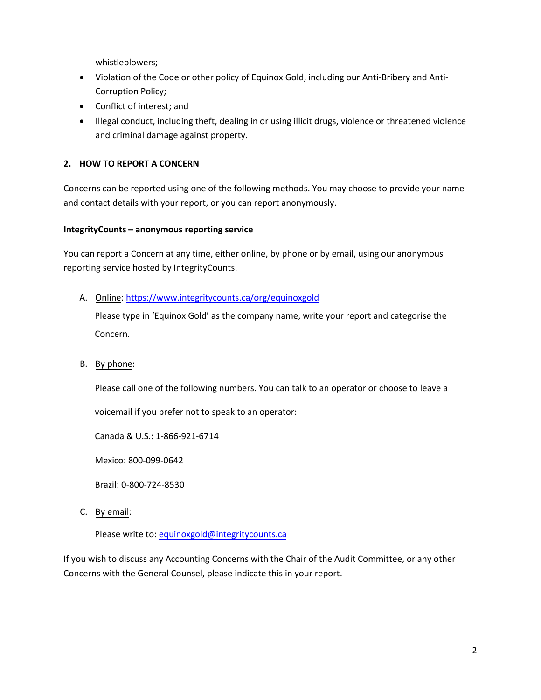whistleblowers;

- Violation of the Code or other policy of Equinox Gold, including our Anti-Bribery and Anti-Corruption Policy;
- Conflict of interest; and
- Illegal conduct, including theft, dealing in or using illicit drugs, violence or threatened violence and criminal damage against property.

## **2. HOW TO REPORT A CONCERN**

Concerns can be reported using one of the following methods. You may choose to provide your name and contact details with your report, or you can report anonymously.

#### **IntegrityCounts – anonymous reporting service**

You can report a Concern at any time, either online, by phone or by email, using our anonymous reporting service hosted by IntegrityCounts.

## A. Online:<https://www.integritycounts.ca/org/equinoxgold>

Please type in 'Equinox Gold' as the company name, write your report and categorise the Concern.

B. By phone:

Please call one of the following numbers. You can talk to an operator or choose to leave a

voicemail if you prefer not to speak to an operator:

Canada & U.S.: 1-866-921-6714

Mexico: 800-099-0642

Brazil: 0-800-724-8530

C. By email:

Please write to: [equinoxgold@integritycounts.ca](mailto:equinoxgold@integritycounts.ca)

If you wish to discuss any Accounting Concerns with the Chair of the Audit Committee, or any other Concerns with the General Counsel, please indicate this in your report.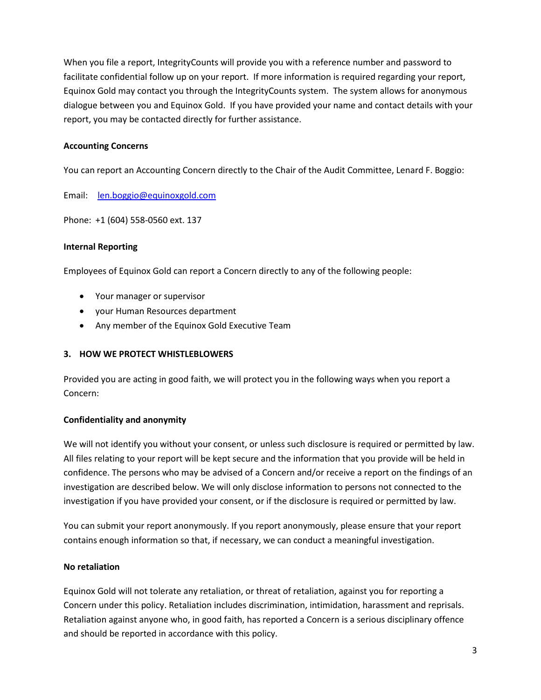When you file a report, IntegrityCounts will provide you with a reference number and password to facilitate confidential follow up on your report. If more information is required regarding your report, Equinox Gold may contact you through the IntegrityCounts system. The system allows for anonymous dialogue between you and Equinox Gold. If you have provided your name and contact details with your report, you may be contacted directly for further assistance.

# **Accounting Concerns**

You can report an Accounting Concern directly to the Chair of the Audit Committee, Lenard F. Boggio:

Email: [len.boggio@equinoxgold.com](mailto:len.boggio@equinoxgold.com) 

Phone: +1 (604) 558-0560 ext. 137

#### **Internal Reporting**

Employees of Equinox Gold can report a Concern directly to any of the following people:

- Your manager or supervisor
- your Human Resources department
- Any member of the Equinox Gold Executive Team

#### **3. HOW WE PROTECT WHISTLEBLOWERS**

Provided you are acting in good faith, we will protect you in the following ways when you report a Concern:

#### **Confidentiality and anonymity**

We will not identify you without your consent, or unless such disclosure is required or permitted by law. All files relating to your report will be kept secure and the information that you provide will be held in confidence. The persons who may be advised of a Concern and/or receive a report on the findings of an investigation are described below. We will only disclose information to persons not connected to the investigation if you have provided your consent, or if the disclosure is required or permitted by law.

You can submit your report anonymously. If you report anonymously, please ensure that your report contains enough information so that, if necessary, we can conduct a meaningful investigation.

#### **No retaliation**

Equinox Gold will not tolerate any retaliation, or threat of retaliation, against you for reporting a Concern under this policy. Retaliation includes discrimination, intimidation, harassment and reprisals. Retaliation against anyone who, in good faith, has reported a Concern is a serious disciplinary offence and should be reported in accordance with this policy.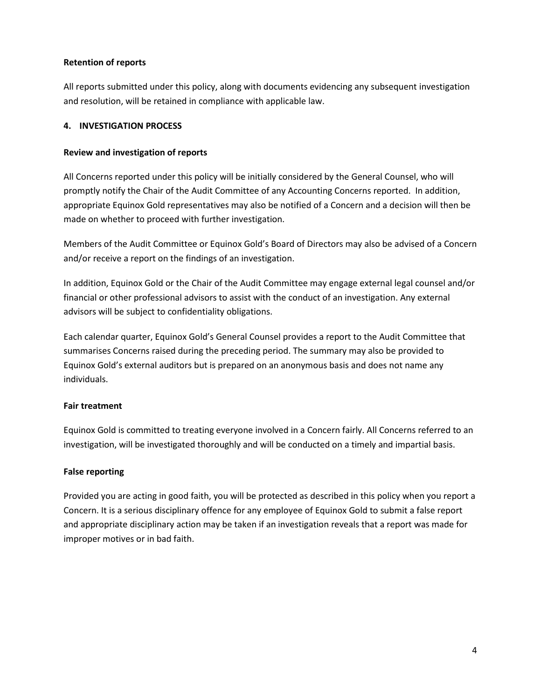#### **Retention of reports**

All reports submitted under this policy, along with documents evidencing any subsequent investigation and resolution, will be retained in compliance with applicable law.

## **4. INVESTIGATION PROCESS**

### **Review and investigation of reports**

All Concerns reported under this policy will be initially considered by the General Counsel, who will promptly notify the Chair of the Audit Committee of any Accounting Concerns reported. In addition, appropriate Equinox Gold representatives may also be notified of a Concern and a decision will then be made on whether to proceed with further investigation.

Members of the Audit Committee or Equinox Gold's Board of Directors may also be advised of a Concern and/or receive a report on the findings of an investigation.

In addition, Equinox Gold or the Chair of the Audit Committee may engage external legal counsel and/or financial or other professional advisors to assist with the conduct of an investigation. Any external advisors will be subject to confidentiality obligations.

Each calendar quarter, Equinox Gold's General Counsel provides a report to the Audit Committee that summarises Concerns raised during the preceding period. The summary may also be provided to Equinox Gold's external auditors but is prepared on an anonymous basis and does not name any individuals.

# **Fair treatment**

Equinox Gold is committed to treating everyone involved in a Concern fairly. All Concerns referred to an investigation, will be investigated thoroughly and will be conducted on a timely and impartial basis.

# **False reporting**

Provided you are acting in good faith, you will be protected as described in this policy when you report a Concern. It is a serious disciplinary offence for any employee of Equinox Gold to submit a false report and appropriate disciplinary action may be taken if an investigation reveals that a report was made for improper motives or in bad faith.